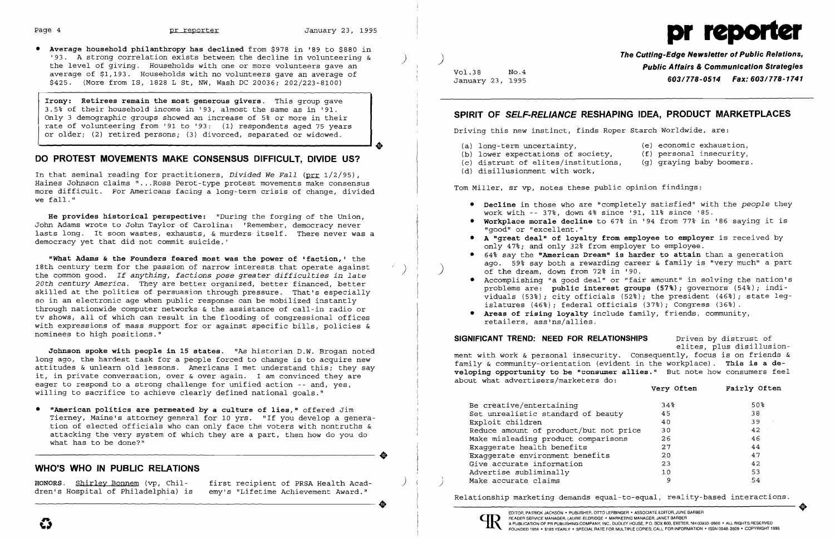• Average household philanthropy has declined from \$978 in '89 to \$880 in '93. A strong correlation exists between the decline in volunteering &  $\begin{array}{lllllll}\n \text{...} & \text{...} & \text{...} & \text{...} & \text{...} & \text{...} & \text{...} & \text{...} & \text{...} & \text{...} & \text{...} & \text{...} & \text{...} & \text{...} & \text{...} & \text{...} & \text{...} & \text{...} & \text{...} & \text{...} & \text{...} & \text{...} & \text{...} & \text{...} & \text{...} & \text{...} & \text{...} & \text{...} & \text{...} & \text{...} & \text{...} & \text{...} & \text{...} & \text{...} & \text{...}$ January 23, 1995 *603/778-0514 Fax: 603/778-1741* \$425. (More from IS, 1828 L St, NW, Wash DC 20036; 202/223-8100)

Irony: Retirees remain the most generous givers. This group gave 3.5~ of their household income in '93, almost the same as in '91. Only 3 demographic groups showed an increase of 5% or more in their rate of volunteering from '91 to '93: (1) respondents aged 75 years or older; (2) retired persons; (3) divorced, separated or widowed.

- (a) long-term uncertainty, (e) economic exhaustion,<br>(b) lower expectations of society, (f) personal insecurity,
- (b) lower expectations of society,  $(f)$  personal insecurity,  $(c)$  distrust of elites/institutions,  $(q)$  qraying baby boomers.
- (c) distrust of elites/institutions,
- (d) disillusionment with work,

- 
- 
- 
- 
- 
- 

In that seminal reading for practitioners, *Divided We Fall* (prr 1/2/95), Haines Johnson claims " ...Ross Perot-type protest movements make consensus Tom Miller, sr vp, notes these public opinion findings: more difficult. For Americans facing a long-term crisis of change, divided we fall."

He provides historical perspective: "During the forging of the Union,<br>John Adams wrote to John Taylor of Carolina: 'Remember, democracy never **and a state of the Workplace morale decline** to 67% in '94 from 77% in '86 sayi lasts long. It soon wastes, exhausts, & murders itself. There never was a<br>democracy yet that did not commit suicide.'<br>democracy yet that did not commit suicide.'<br>only 47%; and only 47%; and only 32% from employer to employ

What Adams & the Founders feared most was the power of 'faction,' the extrappone and the say the "American Dream" is harder to attain than a generation "What Adams & the Founders feared most was the power of 'faction,' the the common good. If anything, factions pose greater difficulties in late<br>
20th century America. They are better organized, better financed, better skilled at the politics of persuasion through pressure. That's especially 20th century America. They are better organized, better financed, better<br>
skilled at the politics of persuasion through pressure. That's especially<br>
skilled at the politics of persuasion through pressure. That's especially

it, in private conversation, over & over again. I am convinced they are<br>eager to respond to a strong challenge for unified action -- and, yes, and about what advertisers/marketers do:<br>Wery Often Fairly Often Fairly Often

• "American politics are permeated by a culture of lies," offered Jim<br>
Tierney, Maine's attorney general for 10 yrs. "If you develop a genera-<br>
tion of elected officials who can only face the voters with nontruths &<br>
attac

dren's Hospital of Philadelphia) is

HONORS. Shirley Bonnem (vp, Chil- first recipient of PRSA Health Acad-<br>dren's Hospital of Philadelphia) is emy's "Lifetime Achievement Award."

### **DO PROTEST MOVEMENTS MAKE CONSENSUS DIFFICULT, DIVIDE US?**

### **SPIRIT OF SELF-RELIANCE RESHAPING IDEA, PRODUCT MARKETPLACES**

Driving this new instinct, finds Roper Starch Worldwide, are:

• Decline in those who are "completely satisfied" with the *people* they

|      | very Orten | rairiy Ortem |
|------|------------|--------------|
|      | 34%        | 50%          |
|      | 45         | 38           |
|      | 40         | 39           |
| rice | 30         | 42           |
| s    | 26         | 46           |
|      | 27         | 44           |
|      | 20         | 47           |
|      | 23         | 42           |
|      | 10         | 53           |
|      | 9          | 54           |
|      |            |              |

nominees to high positions." **SIGNIFICANT TREND: NEED FOR RELATIONSHIPS** Driven by distrust of Johnson spoke with people in 15 states. "As historian D.W. Brogan noted<br>long ago, the hardest task for a people forced to change is to acquire new<br>it, in private converse attitudes & unlearn old lessons. Americans I met un

Exaggerate health benefits<br>Exaggerate environment benefits<br>Give accurate information • What has to be done. "<br>
→ Exaggerate health benefits 27 44<br>
WHO'S WHO IN PUBLIC RELATIONS 47<br>
<sup>42</sup> Advertise subliminally 10 53 42<br>
Advertise subliminally 10 53 Make accurate claims

# Page 4 **pr** reporter January 23, 1995 products by the Definition of the United States of the United States of the United States of the United States of the United States of the United States of the United States of the Uni

- 
- 
- 

Relationship marketing demands equal-to-equal, reality-based interactions.